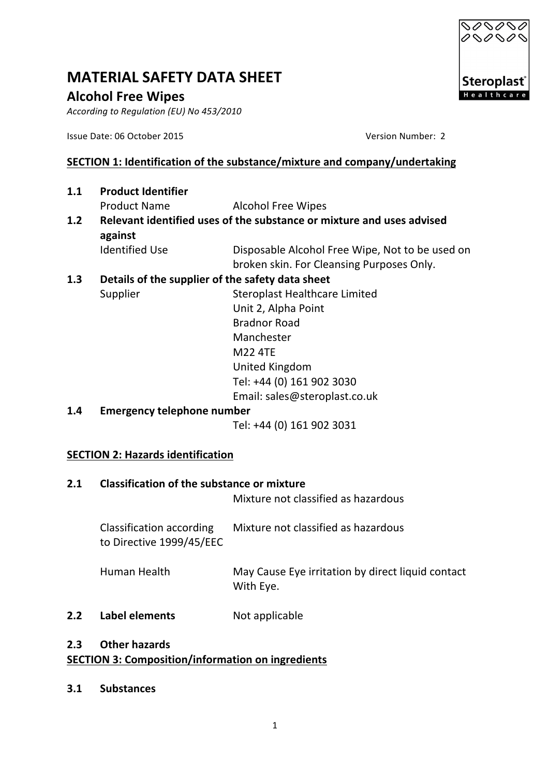# **Alcohol Free Wipes**

According to Regulation (EU) No 453/2010

Issue Date: 06 October 2015 Version Number: 2

# **SECTION 1: Identification of the substance/mixture and company/undertaking**

- **1.1** Product Identifier Product Name Alcohol Free Wipes
- **1.2** Relevant identified uses of the substance or mixture and uses advised **against**
	- Identified Use **Disposable Alcohol Free Wipe, Not to be used on** broken skin. For Cleansing Purposes Only.

# **1.3** Details of the supplier of the safety data sheet

Supplier Supplier Steroplast Healthcare Limited Unit 2, Alpha Point Bradnor Road Manchester M22 4TE United Kingdom Tel: +44 (0) 161 902 3030

Email: sales@steroplast.co.uk

**1.4 Emergency telephone number**

Tel: +44 (0) 161 902 3031

# **SECTION 2: Hazards identification**

#### **2.1** Classification of the substance or mixture

Mixture not classified as hazardous

Classification according Mixture not classified as hazardous to Directive 1999/45/EEC

- Human Health May Cause Eye irritation by direct liquid contact With Eye.
- **2.2 Label elements** Not applicable

## **2.3 Other hazards SECTION 3: Composition/information on ingredients**

**3.1 Substances**

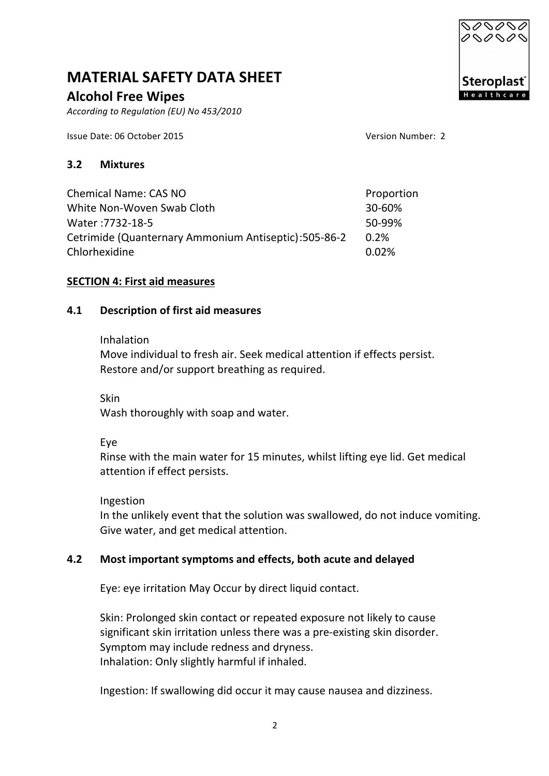# **Alcohol Free Wipes**

*According to Regulation (EU) No 453/2010* 

Issue Date: 06 October 2015 Version Number: 2

#### **3.2 Mixtures**

Chemical Name: CAS NO Proportion White Non-Woven Swab Cloth 30-60% Water :7732-18-5 50-99% Cetrimide (Quanternary Ammonium Antiseptic):505-86-2 0.2% Chlorhexidine 0.02%

#### **SECTION 4: First aid measures**

#### **4.1 Description of first aid measures**

#### Inhalation

Move individual to fresh air. Seek medical attention if effects persist. Restore and/or support breathing as required.

Skin

Wash thoroughly with soap and water.

Eye

Rinse with the main water for 15 minutes, whilst lifting eye lid. Get medical attention if effect persists.

Ingestion

In the unlikely event that the solution was swallowed, do not induce vomiting. Give water, and get medical attention.

#### **4.2** Most important symptoms and effects, both acute and delayed

Eye: eye irritation May Occur by direct liquid contact.

Skin: Prolonged skin contact or repeated exposure not likely to cause significant skin irritation unless there was a pre-existing skin disorder. Symptom may include redness and dryness. Inhalation: Only slightly harmful if inhaled.

Ingestion: If swallowing did occur it may cause nausea and dizziness.

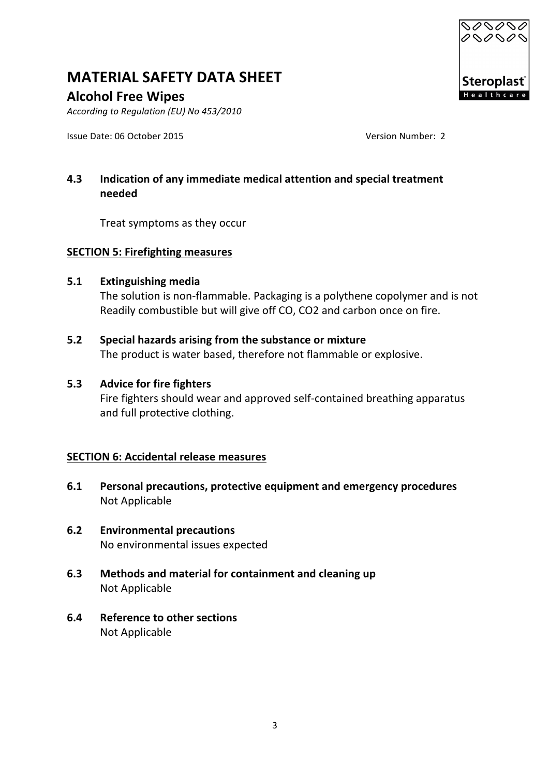

# **Alcohol Free Wipes**

*According to Regulation (EU) No 453/2010* 

Issue Date: 06 October 2015 Version Number: 2

# **4.3** Indication of any immediate medical attention and special treatment **needed**

Treat symptoms as they occur

#### **SECTION 5: Firefighting measures**

#### **5.1 Extinguishing media**

The solution is non-flammable. Packaging is a polythene copolymer and is not Readily combustible but will give off CO, CO2 and carbon once on fire.

# **5.2** Special hazards arising from the substance or mixture

The product is water based, therefore not flammable or explosive.

#### **5.3 Advice for fire fighters**

Fire fighters should wear and approved self-contained breathing apparatus and full protective clothing.

#### **SECTION 6: Accidental release measures**

- **6.1** Personal precautions, protective equipment and emergency procedures **Not Applicable**
- **6.2 Environmental precautions** No environmental issues expected
- **6.3** Methods and material for containment and cleaning up Not Applicable
- **6.4** Reference to other sections **Not Applicable**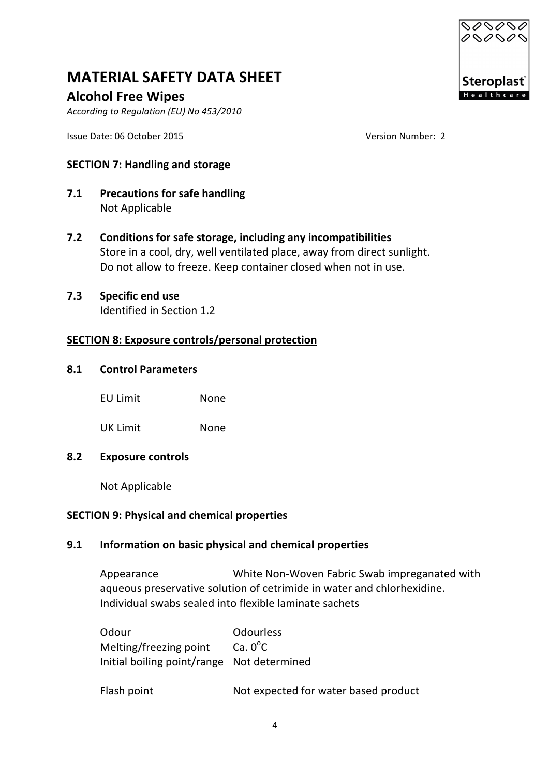# **Alcohol Free Wipes**

*According to Regulation (EU) No 453/2010* 

Issue Date: 06 October 2015 Version Number: 2

## **SECTION 7: Handling and storage**

- **7.1** Precautions for safe handling **Not Applicable**
- **7.2** Conditions for safe storage, including any incompatibilities Store in a cool, dry, well ventilated place, away from direct sunlight. Do not allow to freeze. Keep container closed when not in use.

#### **7.3** Specific end use Identified in Section 1.2

# **SECTION 8: Exposure controls/personal protection**

#### **8.1 Control Parameters**

| <b>EU Limit</b> | None |
|-----------------|------|
|-----------------|------|

UK Limit None

#### **8.2 Exposure controls**

Not Applicable

# **SECTION 9: Physical and chemical properties**

#### **9.1 Information on basic physical and chemical properties**

Appearance White Non-Woven Fabric Swab impreganated with aqueous preservative solution of cetrimide in water and chlorhexidine. Individual swabs sealed into flexible laminate sachets

| Odour                                      | <b>Odourless</b>  |
|--------------------------------------------|-------------------|
| Melting/freezing point                     | Ca. $0^{\circ}$ C |
| Initial boiling point/range Not determined |                   |

Flash point **Not** expected for water based product

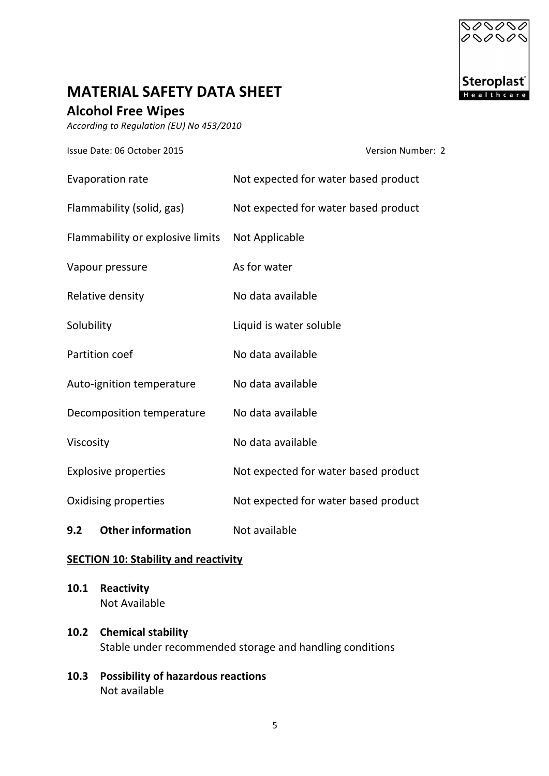

# **Alcohol Free Wipes**

*According to Regulation (EU) No 453/2010* 

Issue Date: 06 October 2015 Version Number: 2

| <b>Evaporation rate</b>          | Not expected for water based product |
|----------------------------------|--------------------------------------|
| Flammability (solid, gas)        | Not expected for water based product |
| Flammability or explosive limits | Not Applicable                       |
| Vapour pressure                  | As for water                         |
| Relative density                 | No data available                    |
| Solubility                       | Liquid is water soluble              |
| Partition coef                   | No data available                    |
| Auto-ignition temperature        | No data available                    |
| Decomposition temperature        | No data available                    |
| Viscosity                        | No data available                    |
| <b>Explosive properties</b>      | Not expected for water based product |
| Oxidising properties             | Not expected for water based product |
| <b>Other information</b><br>9.2  | Not available                        |

#### **SECTION 10: Stability and reactivity**

- **10.1 Reactivity Not Available**
- **10.2 Chemical stability** Stable under recommended storage and handling conditions
- **10.3** Possibility of hazardous reactions Not available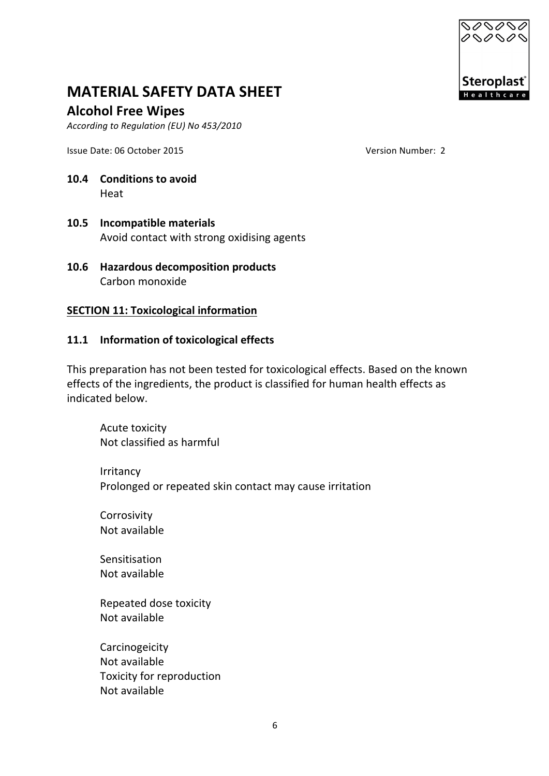

### **Alcohol Free Wipes**

According to Regulation (EU) No 453/2010

Issue Date: 06 October 2015 Version Number: 2

# **10.4 Conditions** to avoid Heat

- **10.5 Incompatible materials** Avoid contact with strong oxidising agents
- **10.6 Hazardous decomposition products** Carbon monoxide

#### **SECTION 11: Toxicological information**

#### 11.1 **Information of toxicological effects**

This preparation has not been tested for toxicological effects. Based on the known effects of the ingredients, the product is classified for human health effects as indicated below.

Acute toxicity Not classified as harmful

Irritancy Prolonged or repeated skin contact may cause irritation

Corrosivity Not available

Sensitisation Not available

Repeated dose toxicity Not available

Carcinogeicity Not available Toxicity for reproduction Not available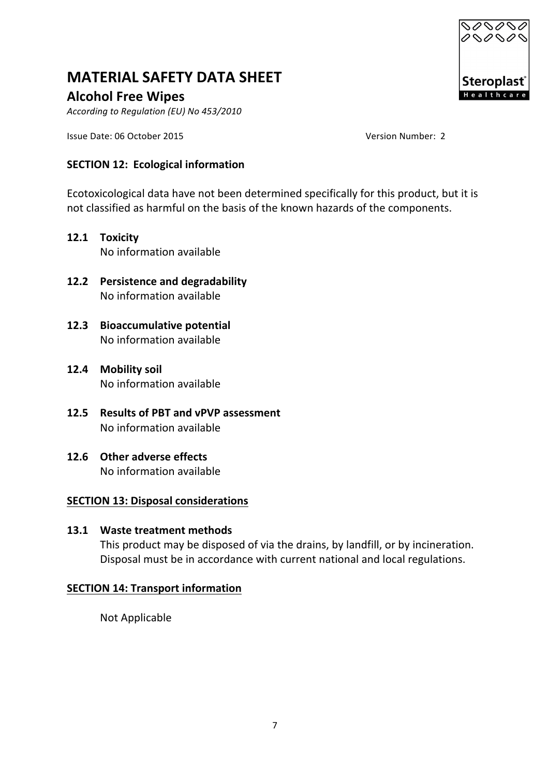# **Alcohol Free Wipes**

*According to Regulation (EU) No 453/2010* 

Issue Date: 06 October 2015 Version Number: 2

# **SECTION 12: Ecological information**

Ecotoxicological data have not been determined specifically for this product, but it is not classified as harmful on the basis of the known hazards of the components.

- **12.1 Toxicity** No information available
- **12.2** Persistence and degradability No information available
- **12.3** Bioaccumulative potential No information available
- **12.4 Mobility soil** No information available
- **12.5 Results of PBT and vPVP assessment** No information available
- **12.6** Other adverse effects No information available

#### **SECTION 13: Disposal considerations**

**13.1 Waste treatment methods** This product may be disposed of via the drains, by landfill, or by incineration. Disposal must be in accordance with current national and local regulations.

# **SECTION 14: Transport information**

Not Applicable